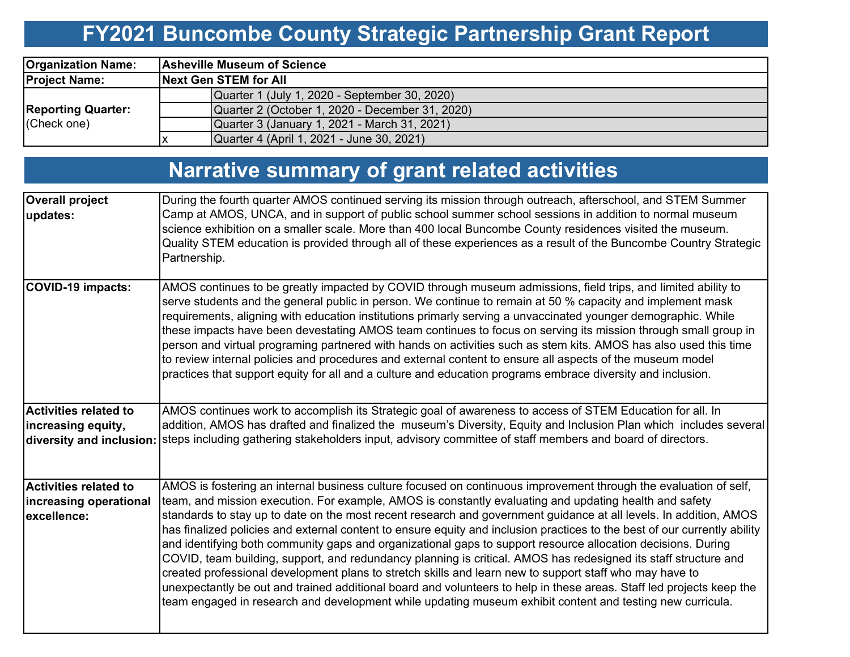## **FY2021 Buncombe County Strategic Partnership Grant Report**

| <b>Organization Name:</b>                | <b>Asheville Museum of Science</b> |                                                 |  |  |  |  |  |
|------------------------------------------|------------------------------------|-------------------------------------------------|--|--|--|--|--|
| <b>Project Name:</b>                     |                                    | <b>Next Gen STEM for All</b>                    |  |  |  |  |  |
| <b>Reporting Quarter:</b><br>(Check one) |                                    | Quarter 1 (July 1, 2020 - September 30, 2020)   |  |  |  |  |  |
|                                          |                                    | Quarter 2 (October 1, 2020 - December 31, 2020) |  |  |  |  |  |
|                                          |                                    | Quarter 3 (January 1, 2021 - March 31, 2021)    |  |  |  |  |  |
|                                          |                                    | Quarter 4 (April 1, 2021 - June 30, 2021)       |  |  |  |  |  |

# **Narrative summary of grant related activities**

| <b>Overall project</b><br>updates:                                    | During the fourth quarter AMOS continued serving its mission through outreach, afterschool, and STEM Summer<br>Camp at AMOS, UNCA, and in support of public school summer school sessions in addition to normal museum<br>science exhibition on a smaller scale. More than 400 local Buncombe County residences visited the museum.<br>Quality STEM education is provided through all of these experiences as a result of the Buncombe Country Strategic<br>Partnership.                                                                                                                                                                                                                                                                                                                                                                                                                                                                                                                                                                                        |
|-----------------------------------------------------------------------|-----------------------------------------------------------------------------------------------------------------------------------------------------------------------------------------------------------------------------------------------------------------------------------------------------------------------------------------------------------------------------------------------------------------------------------------------------------------------------------------------------------------------------------------------------------------------------------------------------------------------------------------------------------------------------------------------------------------------------------------------------------------------------------------------------------------------------------------------------------------------------------------------------------------------------------------------------------------------------------------------------------------------------------------------------------------|
| <b>COVID-19 impacts:</b>                                              | AMOS continues to be greatly impacted by COVID through museum admissions, field trips, and limited ability to<br>serve students and the general public in person. We continue to remain at 50 % capacity and implement mask<br>requirements, aligning with education institutions primarly serving a unvaccinated younger demographic. While<br>these impacts have been devestating AMOS team continues to focus on serving its mission through small group in<br>person and virtual programing partnered with hands on activities such as stem kits. AMOS has also used this time<br>to review internal policies and procedures and external content to ensure all aspects of the museum model<br>practices that support equity for all and a culture and education programs embrace diversity and inclusion.                                                                                                                                                                                                                                                  |
| <b>Activities related to</b><br>increasing equity,                    | AMOS continues work to accomplish its Strategic goal of awareness to access of STEM Education for all. In<br>addition, AMOS has drafted and finalized the museum's Diversity, Equity and Inclusion Plan which includes several<br>diversity and inclusion: steps including gathering stakeholders input, advisory committee of staff members and board of directors.                                                                                                                                                                                                                                                                                                                                                                                                                                                                                                                                                                                                                                                                                            |
| <b>Activities related to</b><br>increasing operational<br>excellence: | AMOS is fostering an internal business culture focused on continuous improvement through the evaluation of self,<br>team, and mission execution. For example, AMOS is constantly evaluating and updating health and safety<br>standards to stay up to date on the most recent research and government guidance at all levels. In addition, AMOS<br>has finalized policies and external content to ensure equity and inclusion practices to the best of our currently ability<br>and identifying both community gaps and organizational gaps to support resource allocation decisions. During<br>COVID, team building, support, and redundancy planning is critical. AMOS has redesigned its staff structure and<br>created professional development plans to stretch skills and learn new to support staff who may have to<br>unexpectantly be out and trained additional board and volunteers to help in these areas. Staff led projects keep the<br>team engaged in research and development while updating museum exhibit content and testing new curricula. |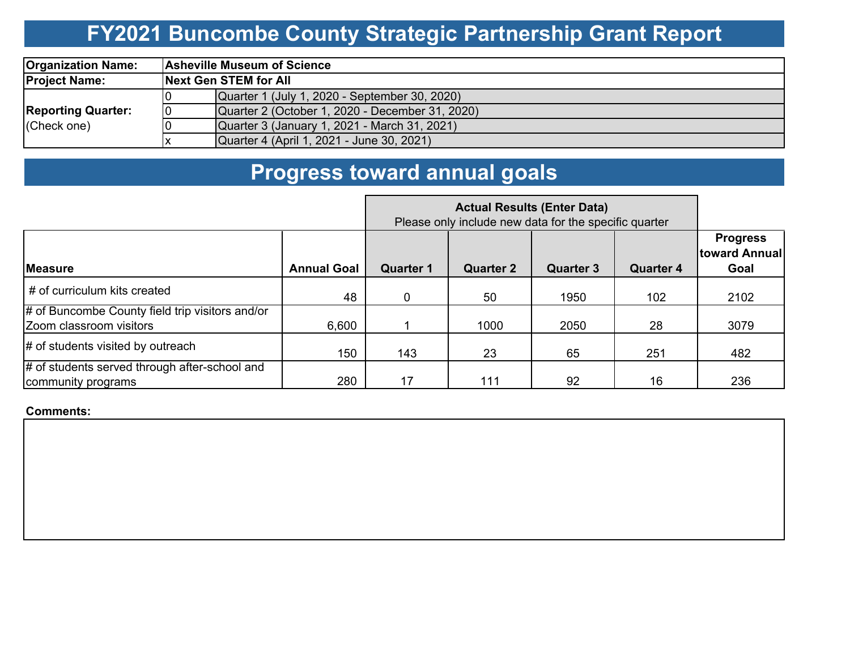## **FY2021 Buncombe County Strategic Partnership Grant Report**

| <b>Organization Name:</b>                |    | <b>Asheville Museum of Science</b>              |  |  |  |  |  |
|------------------------------------------|----|-------------------------------------------------|--|--|--|--|--|
| <b>Project Name:</b>                     |    | <b>Next Gen STEM for All</b>                    |  |  |  |  |  |
|                                          |    | Quarter 1 (July 1, 2020 - September 30, 2020)   |  |  |  |  |  |
| <b>Reporting Quarter:</b><br>(Check one) | 10 | Quarter 2 (October 1, 2020 - December 31, 2020) |  |  |  |  |  |
|                                          |    | Quarter 3 (January 1, 2021 - March 31, 2021)    |  |  |  |  |  |
|                                          |    | Quarter 4 (April 1, 2021 - June 30, 2021)       |  |  |  |  |  |

#### **Progress toward annual goals**

|                                                                            | Please only include new data for the specific quarter |                  |                  |                  |                  |                                          |
|----------------------------------------------------------------------------|-------------------------------------------------------|------------------|------------------|------------------|------------------|------------------------------------------|
| <b>Measure</b>                                                             | <b>Annual Goal</b>                                    | <b>Quarter 1</b> | <b>Quarter 2</b> | <b>Quarter 3</b> | <b>Quarter 4</b> | <b>Progress</b><br>toward Annual<br>Goal |
| # of curriculum kits created                                               | 48                                                    | $\Omega$         | 50               | 1950             | 102              | 2102                                     |
| # of Buncombe County field trip visitors and/or<br>Zoom classroom visitors | 6,600                                                 |                  | 1000             | 2050             | 28               | 3079                                     |
| $\#$ of students visited by outreach                                       | 150                                                   | 143              | 23               | 65               | 251              | 482                                      |
| # of students served through after-school and<br>community programs        | 280                                                   | 17               | 111              | 92               | 16               | 236                                      |

**Comments:**